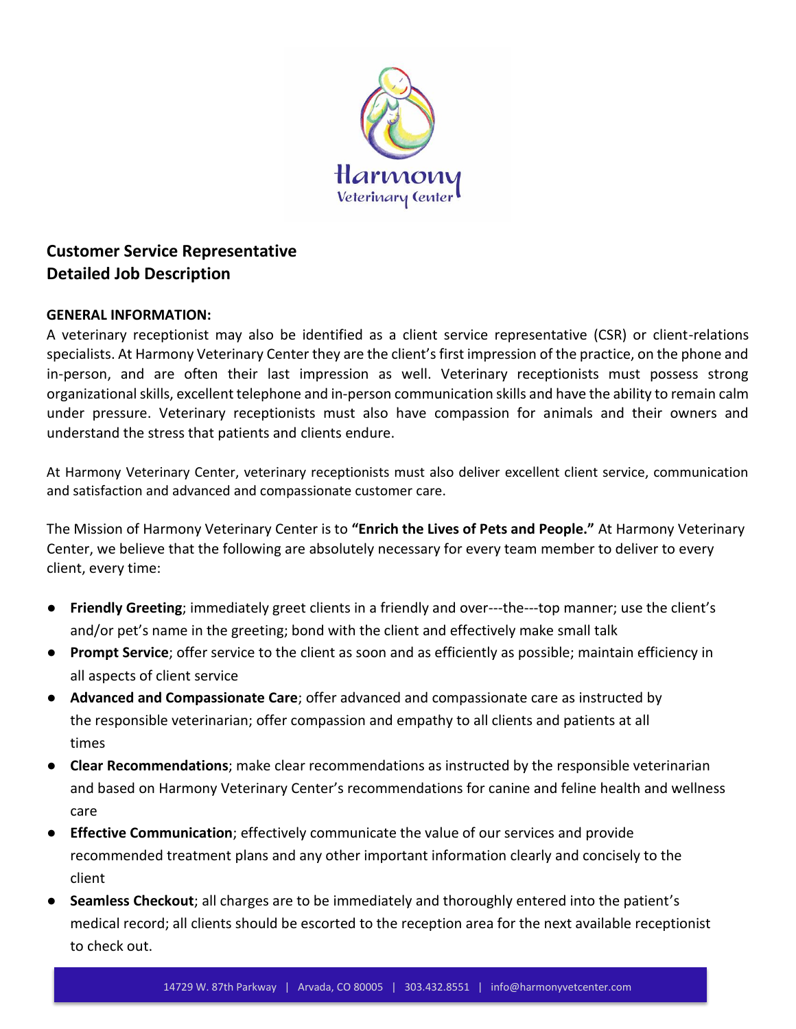

# **Customer Service Representative Detailed Job Description**

### **GENERAL INFORMATION:**

A veterinary receptionist may also be identified as a client service representative (CSR) or client-relations specialists. At Harmony Veterinary Center they are the client's first impression of the practice, on the phone and in-person, and are often their last impression as well. Veterinary receptionists must possess strong organizational skills, excellent telephone and in-person communication skills and have the ability to remain calm under pressure. Veterinary receptionists must also have compassion for animals and their owners and understand the stress that patients and clients endure.

At Harmony Veterinary Center, veterinary receptionists must also deliver excellent client service, communication and satisfaction and advanced and compassionate customer care.

The Mission of Harmony Veterinary Center is to **"Enrich the Lives of Pets and People."** At Harmony Veterinary Center, we believe that the following are absolutely necessary for every team member to deliver to every client, every time:

- **Friendly Greeting**; immediately greet clients in a friendly and over---the---top manner; use the client's and/or pet's name in the greeting; bond with the client and effectively make small talk
- **Prompt Service**; offer service to the client as soon and as efficiently as possible; maintain efficiency in all aspects of client service
- **Advanced and Compassionate Care**; offer advanced and compassionate care as instructed by the responsible veterinarian; offer compassion and empathy to all clients and patients at all times
- **Clear Recommendations**; make clear recommendations as instructed by the responsible veterinarian and based on Harmony Veterinary Center's recommendations for canine and feline health and wellness care
- **Effective Communication**; effectively communicate the value of our services and provide recommended treatment plans and any other important information clearly and concisely to the client
- **Seamless Checkout**; all charges are to be immediately and thoroughly entered into the patient's medical record; all clients should be escorted to the reception area for the next available receptionist to check out.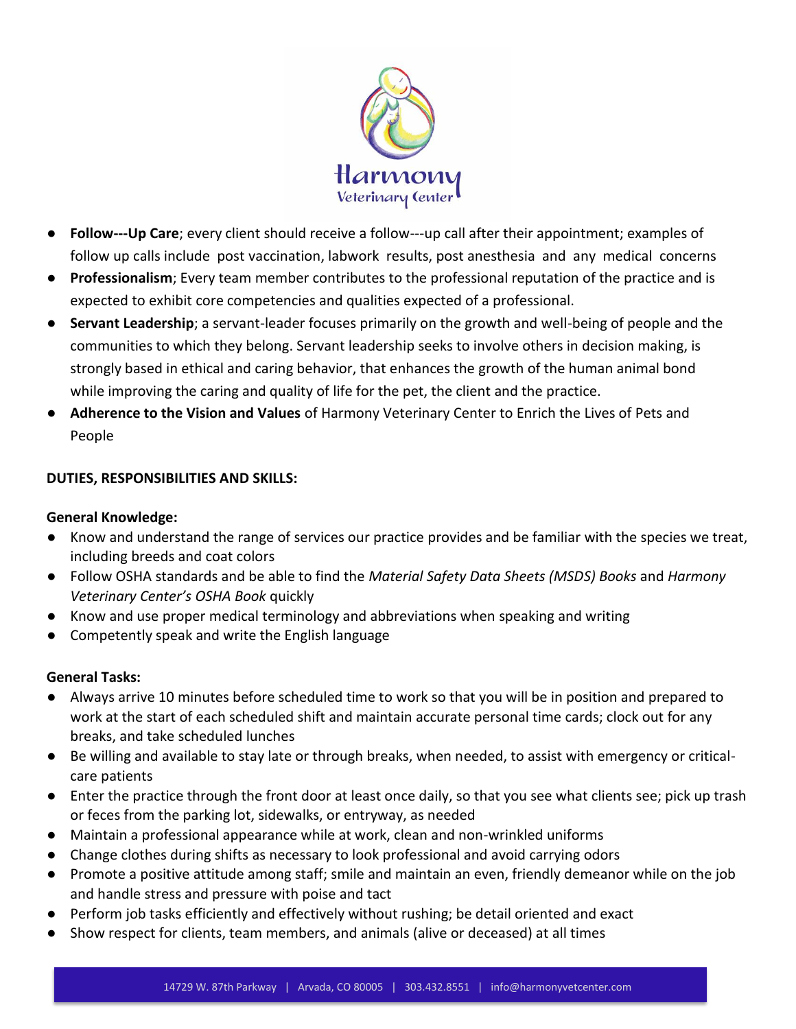

- **Follow-Up Care**; every client should receive a follow-up call after their appointment; examples of follow up calls include post vaccination, labwork results, post anesthesia and any medical concerns
- **Professionalism**; Every team member contributes to the professional reputation of the practice and is expected to exhibit core competencies and qualities expected of a professional.
- **Servant Leadership**; a servant-leader focuses primarily on the growth and well-being of people and the communities to which they belong. Servant leadership seeks to involve others in decision making, is strongly based in ethical and caring behavior, that enhances the growth of the human animal bond while improving the caring and quality of life for the pet, the client and the practice.
- **Adherence to the Vision and Values** of Harmony Veterinary Center to Enrich the Lives of Pets and People

# **DUTIES, RESPONSIBILITIES AND SKILLS:**

## **General Knowledge:**

- Know and understand the range of services our practice provides and be familiar with the species we treat, including breeds and coat colors
- Follow OSHA standards and be able to find the *Material Safety Data Sheets (MSDS) Books* and *Harmony Veterinary Center's OSHA Book* quickly
- Know and use proper medical terminology and abbreviations when speaking and writing
- Competently speak and write the English language

## **General Tasks:**

- Always arrive 10 minutes before scheduled time to work so that you will be in position and prepared to work at the start of each scheduled shift and maintain accurate personal time cards; clock out for any breaks, and take scheduled lunches
- Be willing and available to stay late or through breaks, when needed, to assist with emergency or criticalcare patients
- Enter the practice through the front door at least once daily, so that you see what clients see; pick up trash or feces from the parking lot, sidewalks, or entryway, as needed
- Maintain a professional appearance while at work, clean and non-wrinkled uniforms
- Change clothes during shifts as necessary to look professional and avoid carrying odors
- Promote a positive attitude among staff; smile and maintain an even, friendly demeanor while on the job and handle stress and pressure with poise and tact
- Perform job tasks efficiently and effectively without rushing; be detail oriented and exact
- Show respect for clients, team members, and animals (alive or deceased) at all times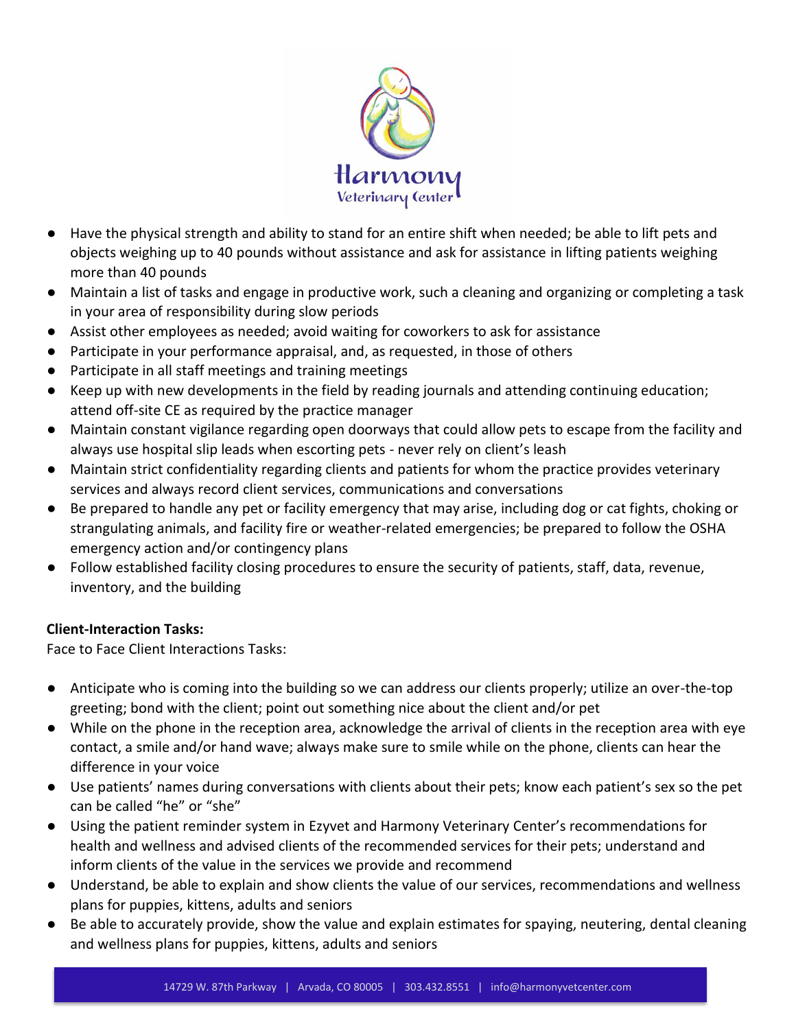

- Have the physical strength and ability to stand for an entire shift when needed; be able to lift pets and objects weighing up to 40 pounds without assistance and ask for assistance in lifting patients weighing more than 40 pounds
- Maintain a list of tasks and engage in productive work, such a cleaning and organizing or completing a task in your area of responsibility during slow periods
- Assist other employees as needed; avoid waiting for coworkers to ask for assistance
- Participate in your performance appraisal, and, as requested, in those of others
- Participate in all staff meetings and training meetings
- Keep up with new developments in the field by reading journals and attending continuing education; attend off-site CE as required by the practice manager
- Maintain constant vigilance regarding open doorways that could allow pets to escape from the facility and always use hospital slip leads when escorting pets - never rely on client's leash
- Maintain strict confidentiality regarding clients and patients for whom the practice provides veterinary services and always record client services, communications and conversations
- Be prepared to handle any pet or facility emergency that may arise, including dog or cat fights, choking or strangulating animals, and facility fire or weather-related emergencies; be prepared to follow the OSHA emergency action and/or contingency plans
- Follow established facility closing procedures to ensure the security of patients, staff, data, revenue, inventory, and the building

## **Client-Interaction Tasks:**

Face to Face Client Interactions Tasks:

- Anticipate who is coming into the building so we can address our clients properly; utilize an over-the-top greeting; bond with the client; point out something nice about the client and/or pet
- While on the phone in the reception area, acknowledge the arrival of clients in the reception area with eye contact, a smile and/or hand wave; always make sure to smile while on the phone, clients can hear the difference in your voice
- Use patients' names during conversations with clients about their pets; know each patient's sex so the pet can be called "he" or "she"
- Using the patient reminder system in Ezyvet and Harmony Veterinary Center's recommendations for health and wellness and advised clients of the recommended services for their pets; understand and inform clients of the value in the services we provide and recommend
- Understand, be able to explain and show clients the value of our services, recommendations and wellness plans for puppies, kittens, adults and seniors
- Be able to accurately provide, show the value and explain estimates for spaying, neutering, dental cleaning and wellness plans for puppies, kittens, adults and seniors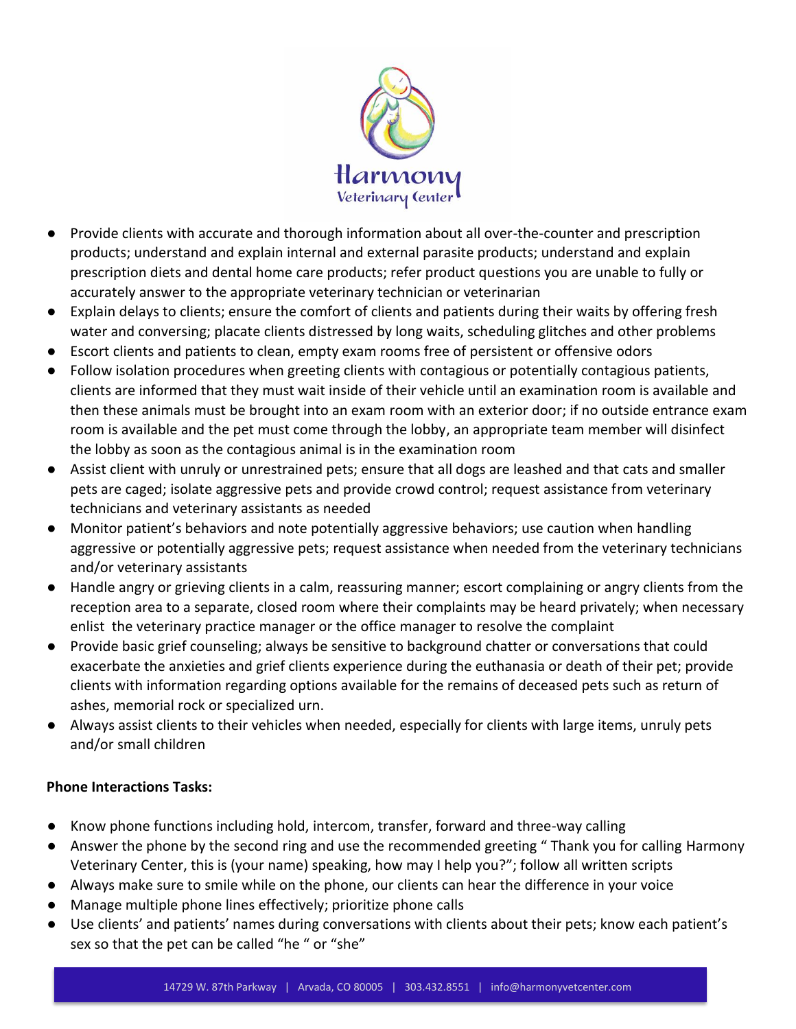

- Provide clients with accurate and thorough information about all over-the-counter and prescription products; understand and explain internal and external parasite products; understand and explain prescription diets and dental home care products; refer product questions you are unable to fully or accurately answer to the appropriate veterinary technician or veterinarian
- Explain delays to clients; ensure the comfort of clients and patients during their waits by offering fresh water and conversing; placate clients distressed by long waits, scheduling glitches and other problems
- Escort clients and patients to clean, empty exam rooms free of persistent or offensive odors
- Follow isolation procedures when greeting clients with contagious or potentially contagious patients, clients are informed that they must wait inside of their vehicle until an examination room is available and then these animals must be brought into an exam room with an exterior door; if no outside entrance exam room is available and the pet must come through the lobby, an appropriate team member will disinfect the lobby as soon as the contagious animal is in the examination room
- Assist client with unruly or unrestrained pets; ensure that all dogs are leashed and that cats and smaller pets are caged; isolate aggressive pets and provide crowd control; request assistance from veterinary technicians and veterinary assistants as needed
- Monitor patient's behaviors and note potentially aggressive behaviors; use caution when handling aggressive or potentially aggressive pets; request assistance when needed from the veterinary technicians and/or veterinary assistants
- Handle angry or grieving clients in a calm, reassuring manner; escort complaining or angry clients from the reception area to a separate, closed room where their complaints may be heard privately; when necessary enlist the veterinary practice manager or the office manager to resolve the complaint
- Provide basic grief counseling; always be sensitive to background chatter or conversations that could exacerbate the anxieties and grief clients experience during the euthanasia or death of their pet; provide clients with information regarding options available for the remains of deceased pets such as return of ashes, memorial rock or specialized urn.
- Always assist clients to their vehicles when needed, especially for clients with large items, unruly pets and/or small children

## **Phone Interactions Tasks:**

- Know phone functions including hold, intercom, transfer, forward and three-way calling
- Answer the phone by the second ring and use the recommended greeting " Thank you for calling Harmony Veterinary Center, this is (your name) speaking, how may I help you?"; follow all written scripts
- Always make sure to smile while on the phone, our clients can hear the difference in your voice
- Manage multiple phone lines effectively; prioritize phone calls
- Use clients' and patients' names during conversations with clients about their pets; know each patient's sex so that the pet can be called "he " or "she"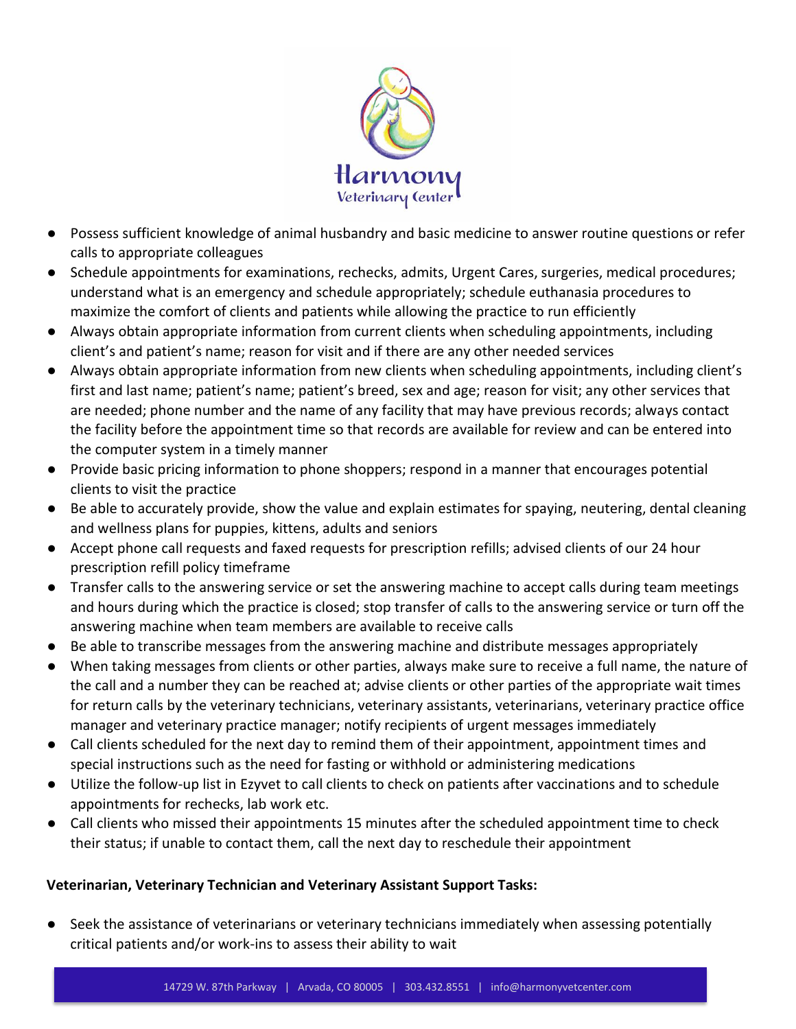

- Possess sufficient knowledge of animal husbandry and basic medicine to answer routine questions or refer calls to appropriate colleagues
- Schedule appointments for examinations, rechecks, admits, Urgent Cares, surgeries, medical procedures; understand what is an emergency and schedule appropriately; schedule euthanasia procedures to maximize the comfort of clients and patients while allowing the practice to run efficiently
- Always obtain appropriate information from current clients when scheduling appointments, including client's and patient's name; reason for visit and if there are any other needed services
- Always obtain appropriate information from new clients when scheduling appointments, including client's first and last name; patient's name; patient's breed, sex and age; reason for visit; any other services that are needed; phone number and the name of any facility that may have previous records; always contact the facility before the appointment time so that records are available for review and can be entered into the computer system in a timely manner
- Provide basic pricing information to phone shoppers; respond in a manner that encourages potential clients to visit the practice
- Be able to accurately provide, show the value and explain estimates for spaying, neutering, dental cleaning and wellness plans for puppies, kittens, adults and seniors
- Accept phone call requests and faxed requests for prescription refills; advised clients of our 24 hour prescription refill policy timeframe
- Transfer calls to the answering service or set the answering machine to accept calls during team meetings and hours during which the practice is closed; stop transfer of calls to the answering service or turn off the answering machine when team members are available to receive calls
- Be able to transcribe messages from the answering machine and distribute messages appropriately
- When taking messages from clients or other parties, always make sure to receive a full name, the nature of the call and a number they can be reached at; advise clients or other parties of the appropriate wait times for return calls by the veterinary technicians, veterinary assistants, veterinarians, veterinary practice office manager and veterinary practice manager; notify recipients of urgent messages immediately
- Call clients scheduled for the next day to remind them of their appointment, appointment times and special instructions such as the need for fasting or withhold or administering medications
- Utilize the follow-up list in Ezyvet to call clients to check on patients after vaccinations and to schedule appointments for rechecks, lab work etc.
- Call clients who missed their appointments 15 minutes after the scheduled appointment time to check their status; if unable to contact them, call the next day to reschedule their appointment

## **Veterinarian, Veterinary Technician and Veterinary Assistant Support Tasks:**

● Seek the assistance of veterinarians or veterinary technicians immediately when assessing potentially critical patients and/or work-ins to assess their ability to wait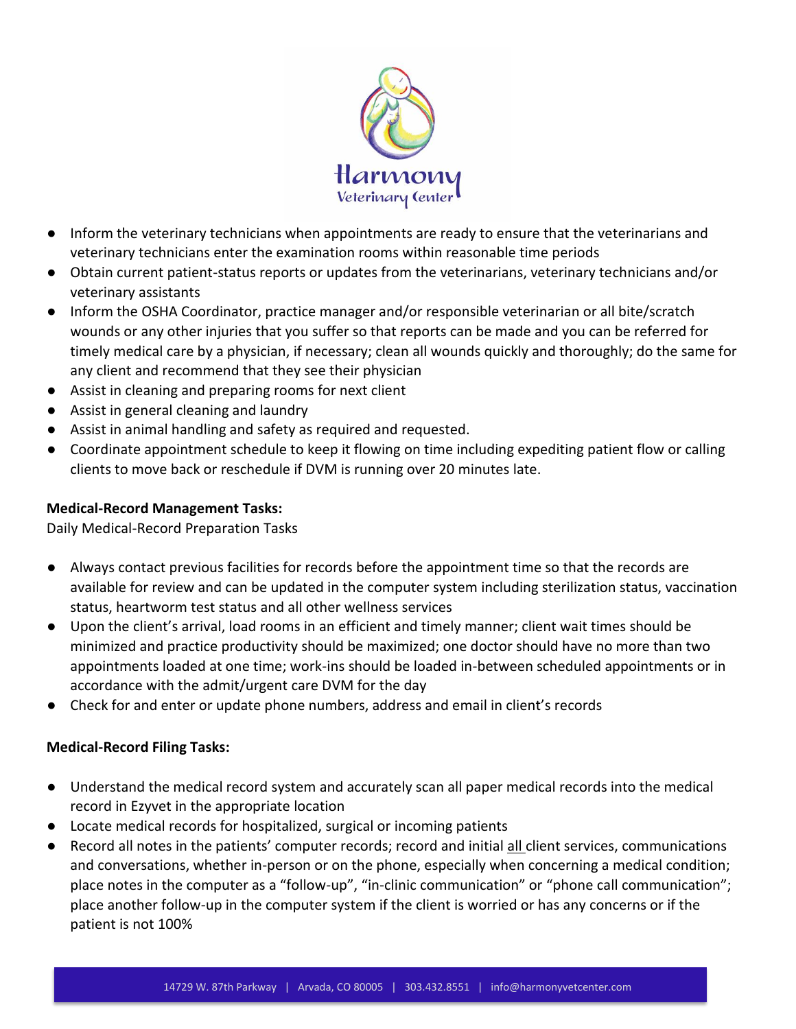

- Inform the veterinary technicians when appointments are ready to ensure that the veterinarians and veterinary technicians enter the examination rooms within reasonable time periods
- Obtain current patient-status reports or updates from the veterinarians, veterinary technicians and/or veterinary assistants
- Inform the OSHA Coordinator, practice manager and/or responsible veterinarian or all bite/scratch wounds or any other injuries that you suffer so that reports can be made and you can be referred for timely medical care by a physician, if necessary; clean all wounds quickly and thoroughly; do the same for any client and recommend that they see their physician
- Assist in cleaning and preparing rooms for next client
- Assist in general cleaning and laundry
- Assist in animal handling and safety as required and requested.
- Coordinate appointment schedule to keep it flowing on time including expediting patient flow or calling clients to move back or reschedule if DVM is running over 20 minutes late.

# **Medical-Record Management Tasks:**

Daily Medical-Record Preparation Tasks

- Always contact previous facilities for records before the appointment time so that the records are available for review and can be updated in the computer system including sterilization status, vaccination status, heartworm test status and all other wellness services
- Upon the client's arrival, load rooms in an efficient and timely manner; client wait times should be minimized and practice productivity should be maximized; one doctor should have no more than two appointments loaded at one time; work-ins should be loaded in-between scheduled appointments or in accordance with the admit/urgent care DVM for the day
- Check for and enter or update phone numbers, address and email in client's records

## **Medical-Record Filing Tasks:**

- Understand the medical record system and accurately scan all paper medical records into the medical record in Ezyvet in the appropriate location
- Locate medical records for hospitalized, surgical or incoming patients
- Record all notes in the patients' computer records; record and initial all client services, communications and conversations, whether in-person or on the phone, especially when concerning a medical condition; place notes in the computer as a "follow-up", "in-clinic communication" or "phone call communication"; place another follow-up in the computer system if the client is worried or has any concerns or if the patient is not 100%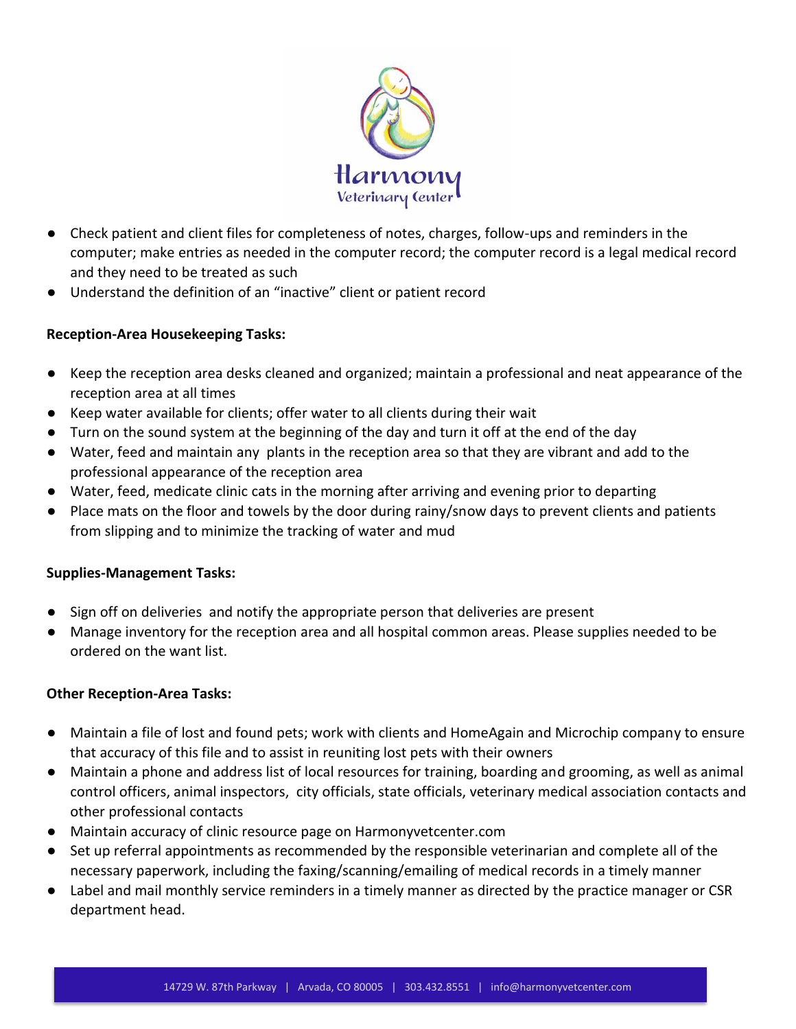

- Check patient and client files for completeness of notes, charges, follow-ups and reminders in the computer; make entries as needed in the computer record; the computer record is a legal medical record and they need to be treated as such
- Understand the definition of an "inactive" client or patient record

## **Reception-Area Housekeeping Tasks:**

- Keep the reception area desks cleaned and organized; maintain a professional and neat appearance of the reception area at all times
- Keep water available for clients; offer water to all clients during their wait
- Turn on the sound system at the beginning of the day and turn it off at the end of the day
- Water, feed and maintain any plants in the reception area so that they are vibrant and add to the professional appearance of the reception area
- Water, feed, medicate clinic cats in the morning after arriving and evening prior to departing
- Place mats on the floor and towels by the door during rainy/snow days to prevent clients and patients from slipping and to minimize the tracking of water and mud

#### **Supplies-Management Tasks:**

- Sign off on deliveries and notify the appropriate person that deliveries are present
- Manage inventory for the reception area and all hospital common areas. Please supplies needed to be ordered on the want list.

## **Other Reception-Area Tasks:**

- Maintain a file of lost and found pets; work with clients and HomeAgain and Microchip company to ensure that accuracy of this file and to assist in reuniting lost pets with their owners
- Maintain a phone and address list of local resources for training, boarding and grooming, as well as animal control officers, animal inspectors, city officials, state officials, veterinary medical association contacts and other professional contacts
- Maintain accuracy of clinic resource page on Harmonyvetcenter.com
- Set up referral appointments as recommended by the responsible veterinarian and complete all of the necessary paperwork, including the faxing/scanning/emailing of medical records in a timely manner
- Label and mail monthly service reminders in a timely manner as directed by the practice manager or CSR department head.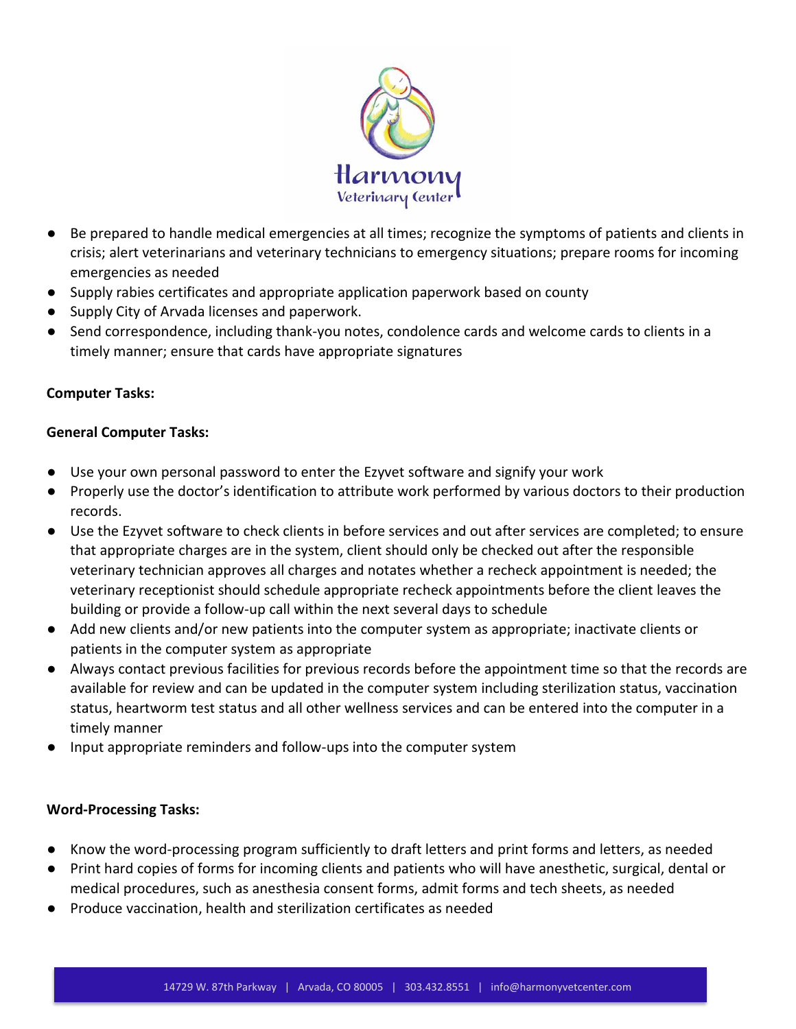

- Be prepared to handle medical emergencies at all times; recognize the symptoms of patients and clients in crisis; alert veterinarians and veterinary technicians to emergency situations; prepare rooms for incoming emergencies as needed
- Supply rabies certificates and appropriate application paperwork based on county
- Supply City of Arvada licenses and paperwork.
- Send correspondence, including thank-you notes, condolence cards and welcome cards to clients in a timely manner; ensure that cards have appropriate signatures

## **Computer Tasks:**

### **General Computer Tasks:**

- Use your own personal password to enter the Ezyvet software and signify your work
- Properly use the doctor's identification to attribute work performed by various doctors to their production records.
- Use the Ezyvet software to check clients in before services and out after services are completed; to ensure that appropriate charges are in the system, client should only be checked out after the responsible veterinary technician approves all charges and notates whether a recheck appointment is needed; the veterinary receptionist should schedule appropriate recheck appointments before the client leaves the building or provide a follow-up call within the next several days to schedule
- Add new clients and/or new patients into the computer system as appropriate; inactivate clients or patients in the computer system as appropriate
- Always contact previous facilities for previous records before the appointment time so that the records are available for review and can be updated in the computer system including sterilization status, vaccination status, heartworm test status and all other wellness services and can be entered into the computer in a timely manner
- Input appropriate reminders and follow-ups into the computer system

## **Word-Processing Tasks:**

- Know the word-processing program sufficiently to draft letters and print forms and letters, as needed
- Print hard copies of forms for incoming clients and patients who will have anesthetic, surgical, dental or medical procedures, such as anesthesia consent forms, admit forms and tech sheets, as needed
- Produce vaccination, health and sterilization certificates as needed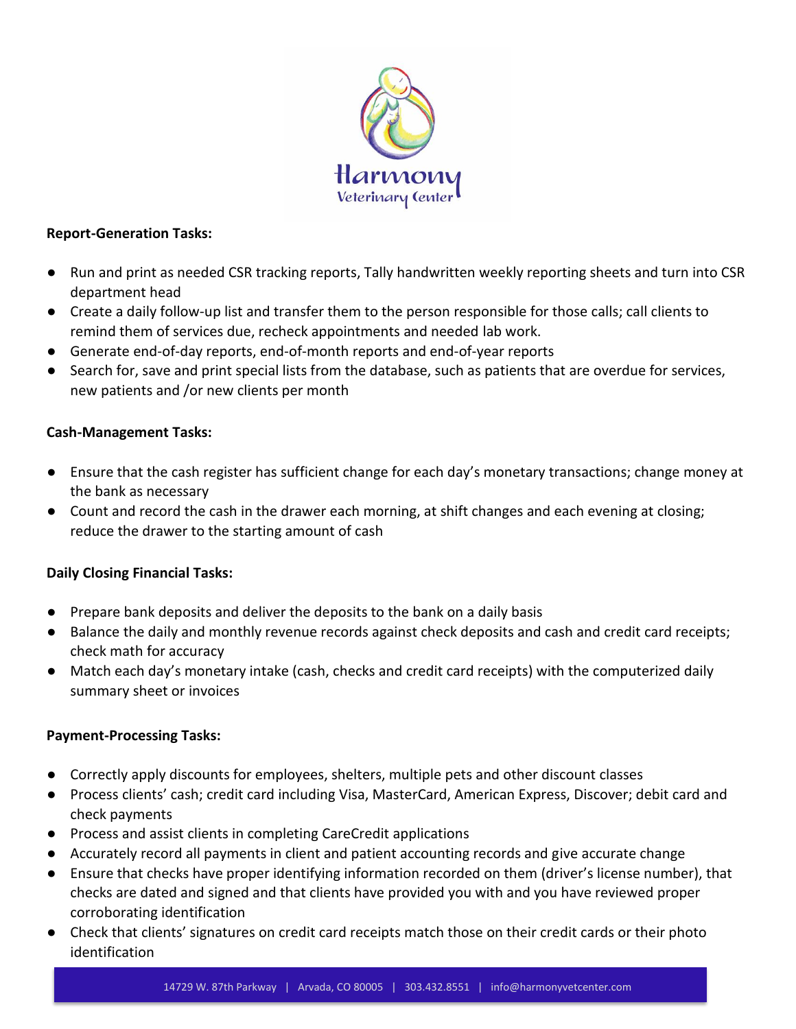

#### **Report-Generation Tasks:**

- Run and print as needed CSR tracking reports, Tally handwritten weekly reporting sheets and turn into CSR department head
- Create a daily follow-up list and transfer them to the person responsible for those calls; call clients to remind them of services due, recheck appointments and needed lab work.
- Generate end-of-day reports, end-of-month reports and end-of-year reports
- Search for, save and print special lists from the database, such as patients that are overdue for services, new patients and /or new clients per month

## **Cash-Management Tasks:**

- Ensure that the cash register has sufficient change for each day's monetary transactions; change money at the bank as necessary
- Count and record the cash in the drawer each morning, at shift changes and each evening at closing; reduce the drawer to the starting amount of cash

## **Daily Closing Financial Tasks:**

- Prepare bank deposits and deliver the deposits to the bank on a daily basis
- Balance the daily and monthly revenue records against check deposits and cash and credit card receipts; check math for accuracy
- Match each day's monetary intake (cash, checks and credit card receipts) with the computerized daily summary sheet or invoices

## **Payment-Processing Tasks:**

- Correctly apply discounts for employees, shelters, multiple pets and other discount classes
- Process clients' cash; credit card including Visa, MasterCard, American Express, Discover; debit card and check payments
- Process and assist clients in completing CareCredit applications
- Accurately record all payments in client and patient accounting records and give accurate change
- Ensure that checks have proper identifying information recorded on them (driver's license number), that checks are dated and signed and that clients have provided you with and you have reviewed proper corroborating identification
- Check that clients' signatures on credit card receipts match those on their credit cards or their photo identification